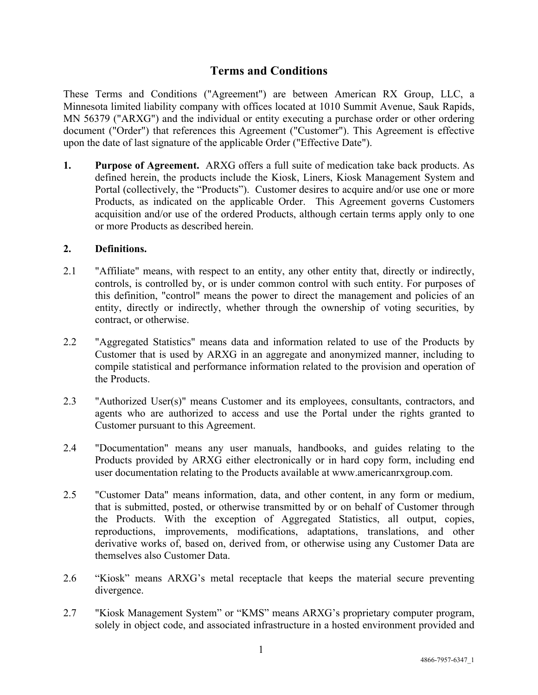# **Terms and Conditions**

These Terms and Conditions ("Agreement") are between American RX Group, LLC, a Minnesota limited liability company with offices located at 1010 Summit Avenue, Sauk Rapids, MN 56379 ("ARXG") and the individual or entity executing a purchase order or other ordering document ("Order") that references this Agreement ("Customer"). This Agreement is effective upon the date of last signature of the applicable Order ("Effective Date").

**1. Purpose of Agreement.** ARXG offers a full suite of medication take back products. As defined herein, the products include the Kiosk, Liners, Kiosk Management System and Portal (collectively, the "Products"). Customer desires to acquire and/or use one or more Products, as indicated on the applicable Order. This Agreement governs Customers acquisition and/or use of the ordered Products, although certain terms apply only to one or more Products as described herein.

#### **2. Definitions.**

- 2.1 "Affiliate" means, with respect to an entity, any other entity that, directly or indirectly, controls, is controlled by, or is under common control with such entity. For purposes of this definition, "control" means the power to direct the management and policies of an entity, directly or indirectly, whether through the ownership of voting securities, by contract, or otherwise.
- 2.2 "Aggregated Statistics" means data and information related to use of the Products by Customer that is used by ARXG in an aggregate and anonymized manner, including to compile statistical and performance information related to the provision and operation of the Products.
- 2.3 "Authorized User(s)" means Customer and its employees, consultants, contractors, and agents who are authorized to access and use the Portal under the rights granted to Customer pursuant to this Agreement.
- 2.4 "Documentation" means any user manuals, handbooks, and guides relating to the Products provided by ARXG either electronically or in hard copy form, including end user documentation relating to the Products available at www.americanrxgroup.com.
- 2.5 "Customer Data" means information, data, and other content, in any form or medium, that is submitted, posted, or otherwise transmitted by or on behalf of Customer through the Products. With the exception of Aggregated Statistics, all output, copies, reproductions, improvements, modifications, adaptations, translations, and other derivative works of, based on, derived from, or otherwise using any Customer Data are themselves also Customer Data.
- 2.6 "Kiosk" means ARXG's metal receptacle that keeps the material secure preventing divergence.
- 2.7 "Kiosk Management System" or "KMS" means ARXG's proprietary computer program, solely in object code, and associated infrastructure in a hosted environment provided and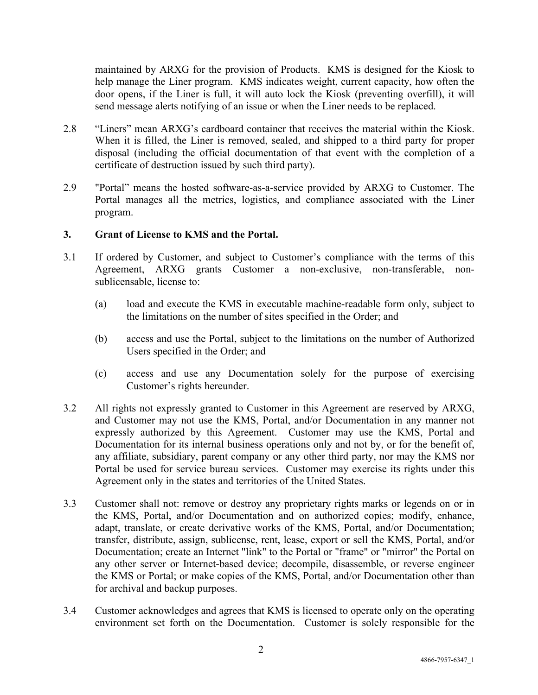maintained by ARXG for the provision of Products. KMS is designed for the Kiosk to help manage the Liner program. KMS indicates weight, current capacity, how often the door opens, if the Liner is full, it will auto lock the Kiosk (preventing overfill), it will send message alerts notifying of an issue or when the Liner needs to be replaced.

- 2.8 "Liners" mean ARXG's cardboard container that receives the material within the Kiosk. When it is filled, the Liner is removed, sealed, and shipped to a third party for proper disposal (including the official documentation of that event with the completion of a certificate of destruction issued by such third party).
- 2.9 "Portal" means the hosted software-as-a-service provided by ARXG to Customer. The Portal manages all the metrics, logistics, and compliance associated with the Liner program.

#### **3. Grant of License to KMS and the Portal.**

- 3.1 If ordered by Customer, and subject to Customer's compliance with the terms of this Agreement, ARXG grants Customer a non-exclusive, non-transferable, nonsublicensable, license to:
	- (a) load and execute the KMS in executable machine-readable form only, subject to the limitations on the number of sites specified in the Order; and
	- (b) access and use the Portal, subject to the limitations on the number of Authorized Users specified in the Order; and
	- (c) access and use any Documentation solely for the purpose of exercising Customer's rights hereunder.
- 3.2 All rights not expressly granted to Customer in this Agreement are reserved by ARXG, and Customer may not use the KMS, Portal, and/or Documentation in any manner not expressly authorized by this Agreement. Customer may use the KMS, Portal and Documentation for its internal business operations only and not by, or for the benefit of, any affiliate, subsidiary, parent company or any other third party, nor may the KMS nor Portal be used for service bureau services. Customer may exercise its rights under this Agreement only in the states and territories of the United States.
- 3.3 Customer shall not: remove or destroy any proprietary rights marks or legends on or in the KMS, Portal, and/or Documentation and on authorized copies; modify, enhance, adapt, translate, or create derivative works of the KMS, Portal, and/or Documentation; transfer, distribute, assign, sublicense, rent, lease, export or sell the KMS, Portal, and/or Documentation; create an Internet "link" to the Portal or "frame" or "mirror" the Portal on any other server or Internet-based device; decompile, disassemble, or reverse engineer the KMS or Portal; or make copies of the KMS, Portal, and/or Documentation other than for archival and backup purposes.
- 3.4 Customer acknowledges and agrees that KMS is licensed to operate only on the operating environment set forth on the Documentation. Customer is solely responsible for the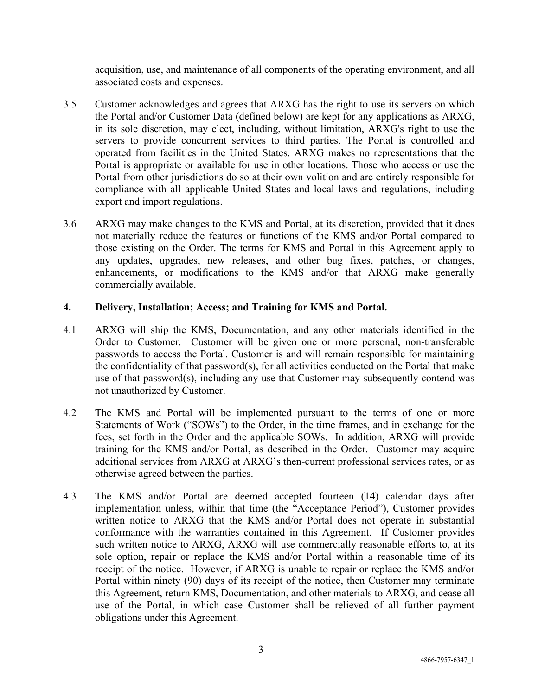acquisition, use, and maintenance of all components of the operating environment, and all associated costs and expenses.

- 3.5 Customer acknowledges and agrees that ARXG has the right to use its servers on which the Portal and/or Customer Data (defined below) are kept for any applications as ARXG, in its sole discretion, may elect, including, without limitation, ARXG's right to use the servers to provide concurrent services to third parties. The Portal is controlled and operated from facilities in the United States. ARXG makes no representations that the Portal is appropriate or available for use in other locations. Those who access or use the Portal from other jurisdictions do so at their own volition and are entirely responsible for compliance with all applicable United States and local laws and regulations, including export and import regulations.
- 3.6 ARXG may make changes to the KMS and Portal, at its discretion, provided that it does not materially reduce the features or functions of the KMS and/or Portal compared to those existing on the Order. The terms for KMS and Portal in this Agreement apply to any updates, upgrades, new releases, and other bug fixes, patches, or changes, enhancements, or modifications to the KMS and/or that ARXG make generally commercially available.

## **4. Delivery, Installation; Access; and Training for KMS and Portal.**

- 4.1 ARXG will ship the KMS, Documentation, and any other materials identified in the Order to Customer. Customer will be given one or more personal, non-transferable passwords to access the Portal. Customer is and will remain responsible for maintaining the confidentiality of that password(s), for all activities conducted on the Portal that make use of that password(s), including any use that Customer may subsequently contend was not unauthorized by Customer.
- 4.2 The KMS and Portal will be implemented pursuant to the terms of one or more Statements of Work ("SOWs") to the Order, in the time frames, and in exchange for the fees, set forth in the Order and the applicable SOWs. In addition, ARXG will provide training for the KMS and/or Portal, as described in the Order. Customer may acquire additional services from ARXG at ARXG's then-current professional services rates, or as otherwise agreed between the parties.
- 4.3 The KMS and/or Portal are deemed accepted fourteen (14) calendar days after implementation unless, within that time (the "Acceptance Period"), Customer provides written notice to ARXG that the KMS and/or Portal does not operate in substantial conformance with the warranties contained in this Agreement. If Customer provides such written notice to ARXG, ARXG will use commercially reasonable efforts to, at its sole option, repair or replace the KMS and/or Portal within a reasonable time of its receipt of the notice. However, if ARXG is unable to repair or replace the KMS and/or Portal within ninety (90) days of its receipt of the notice, then Customer may terminate this Agreement, return KMS, Documentation, and other materials to ARXG, and cease all use of the Portal, in which case Customer shall be relieved of all further payment obligations under this Agreement.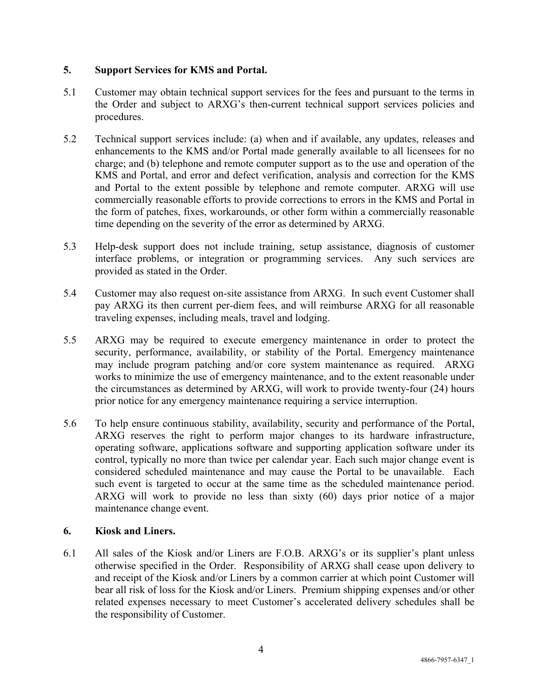## **5. Support Services for KMS and Portal.**

- 5.1 Customer may obtain technical support services for the fees and pursuant to the terms in the Order and subject to ARXG's then-current technical support services policies and procedures.
- 5.2 Technical support services include: (a) when and if available, any updates, releases and enhancements to the KMS and/or Portal made generally available to all licensees for no charge; and (b) telephone and remote computer support as to the use and operation of the KMS and Portal, and error and defect verification, analysis and correction for the KMS and Portal to the extent possible by telephone and remote computer. ARXG will use commercially reasonable efforts to provide corrections to errors in the KMS and Portal in the form of patches, fixes, workarounds, or other form within a commercially reasonable time depending on the severity of the error as determined by ARXG.
- 5.3 Help-desk support does not include training, setup assistance, diagnosis of customer interface problems, or integration or programming services. Any such services are provided as stated in the Order.
- 5.4 Customer may also request on-site assistance from ARXG. In such event Customer shall pay ARXG its then current per-diem fees, and will reimburse ARXG for all reasonable traveling expenses, including meals, travel and lodging.
- 5.5 ARXG may be required to execute emergency maintenance in order to protect the security, performance, availability, or stability of the Portal. Emergency maintenance may include program patching and/or core system maintenance as required. ARXG works to minimize the use of emergency maintenance, and to the extent reasonable under the circumstances as determined by ARXG, will work to provide twenty-four (24) hours prior notice for any emergency maintenance requiring a service interruption.
- 5.6 To help ensure continuous stability, availability, security and performance of the Portal, ARXG reserves the right to perform major changes to its hardware infrastructure, operating software, applications software and supporting application software under its control, typically no more than twice per calendar year. Each such major change event is considered scheduled maintenance and may cause the Portal to be unavailable. Each such event is targeted to occur at the same time as the scheduled maintenance period. ARXG will work to provide no less than sixty (60) days prior notice of a major maintenance change event.

#### **6. Kiosk and Liners.**

6.1 All sales of the Kiosk and/or Liners are F.O.B. ARXG's or its supplier's plant unless otherwise specified in the Order. Responsibility of ARXG shall cease upon delivery to and receipt of the Kiosk and/or Liners by a common carrier at which point Customer will bear all risk of loss for the Kiosk and/or Liners. Premium shipping expenses and/or other related expenses necessary to meet Customer's accelerated delivery schedules shall be the responsibility of Customer.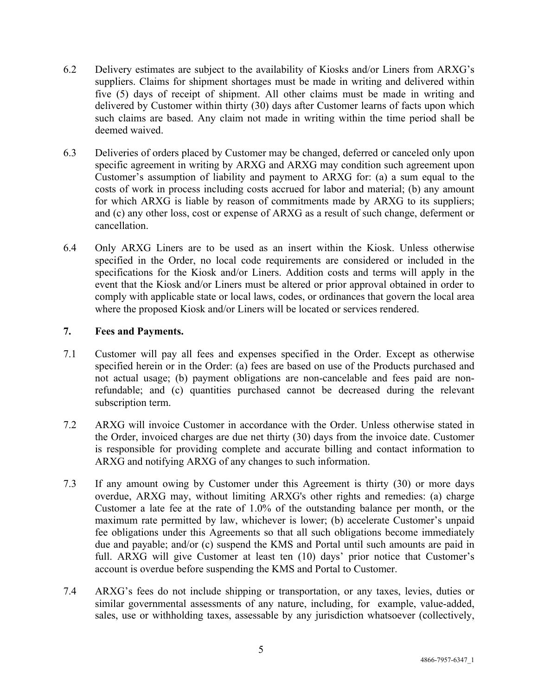- 6.2 Delivery estimates are subject to the availability of Kiosks and/or Liners from ARXG's suppliers. Claims for shipment shortages must be made in writing and delivered within five (5) days of receipt of shipment. All other claims must be made in writing and delivered by Customer within thirty (30) days after Customer learns of facts upon which such claims are based. Any claim not made in writing within the time period shall be deemed waived.
- 6.3 Deliveries of orders placed by Customer may be changed, deferred or canceled only upon specific agreement in writing by ARXG and ARXG may condition such agreement upon Customer's assumption of liability and payment to ARXG for: (a) a sum equal to the costs of work in process including costs accrued for labor and material; (b) any amount for which ARXG is liable by reason of commitments made by ARXG to its suppliers; and (c) any other loss, cost or expense of ARXG as a result of such change, deferment or cancellation.
- 6.4 Only ARXG Liners are to be used as an insert within the Kiosk. Unless otherwise specified in the Order, no local code requirements are considered or included in the specifications for the Kiosk and/or Liners. Addition costs and terms will apply in the event that the Kiosk and/or Liners must be altered or prior approval obtained in order to comply with applicable state or local laws, codes, or ordinances that govern the local area where the proposed Kiosk and/or Liners will be located or services rendered.

## **7. Fees and Payments.**

- 7.1 Customer will pay all fees and expenses specified in the Order. Except as otherwise specified herein or in the Order: (a) fees are based on use of the Products purchased and not actual usage; (b) payment obligations are non-cancelable and fees paid are nonrefundable; and (c) quantities purchased cannot be decreased during the relevant subscription term.
- 7.2 ARXG will invoice Customer in accordance with the Order. Unless otherwise stated in the Order, invoiced charges are due net thirty (30) days from the invoice date. Customer is responsible for providing complete and accurate billing and contact information to ARXG and notifying ARXG of any changes to such information.
- 7.3 If any amount owing by Customer under this Agreement is thirty (30) or more days overdue, ARXG may, without limiting ARXG's other rights and remedies: (a) charge Customer a late fee at the rate of 1.0% of the outstanding balance per month, or the maximum rate permitted by law, whichever is lower; (b) accelerate Customer's unpaid fee obligations under this Agreements so that all such obligations become immediately due and payable; and/or (c) suspend the KMS and Portal until such amounts are paid in full. ARXG will give Customer at least ten (10) days' prior notice that Customer's account is overdue before suspending the KMS and Portal to Customer.
- 7.4 ARXG's fees do not include shipping or transportation, or any taxes, levies, duties or similar governmental assessments of any nature, including, for example, value-added, sales, use or withholding taxes, assessable by any jurisdiction whatsoever (collectively,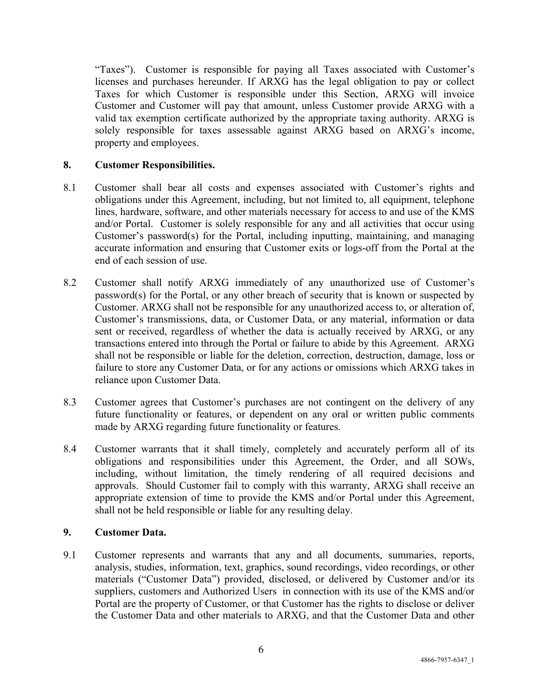"Taxes"). Customer is responsible for paying all Taxes associated with Customer's licenses and purchases hereunder. If ARXG has the legal obligation to pay or collect Taxes for which Customer is responsible under this Section, ARXG will invoice Customer and Customer will pay that amount, unless Customer provide ARXG with a valid tax exemption certificate authorized by the appropriate taxing authority. ARXG is solely responsible for taxes assessable against ARXG based on ARXG's income, property and employees.

## **8. Customer Responsibilities.**

- 8.1 Customer shall bear all costs and expenses associated with Customer's rights and obligations under this Agreement, including, but not limited to, all equipment, telephone lines, hardware, software, and other materials necessary for access to and use of the KMS and/or Portal. Customer is solely responsible for any and all activities that occur using Customer's password(s) for the Portal, including inputting, maintaining, and managing accurate information and ensuring that Customer exits or logs-off from the Portal at the end of each session of use.
- 8.2 Customer shall notify ARXG immediately of any unauthorized use of Customer's password(s) for the Portal, or any other breach of security that is known or suspected by Customer. ARXG shall not be responsible for any unauthorized access to, or alteration of, Customer's transmissions, data, or Customer Data, or any material, information or data sent or received, regardless of whether the data is actually received by ARXG, or any transactions entered into through the Portal or failure to abide by this Agreement. ARXG shall not be responsible or liable for the deletion, correction, destruction, damage, loss or failure to store any Customer Data, or for any actions or omissions which ARXG takes in reliance upon Customer Data.
- 8.3 Customer agrees that Customer's purchases are not contingent on the delivery of any future functionality or features, or dependent on any oral or written public comments made by ARXG regarding future functionality or features.
- 8.4 Customer warrants that it shall timely, completely and accurately perform all of its obligations and responsibilities under this Agreement, the Order, and all SOWs, including, without limitation, the timely rendering of all required decisions and approvals. Should Customer fail to comply with this warranty, ARXG shall receive an appropriate extension of time to provide the KMS and/or Portal under this Agreement, shall not be held responsible or liable for any resulting delay.

#### **9. Customer Data.**

9.1 Customer represents and warrants that any and all documents, summaries, reports, analysis, studies, information, text, graphics, sound recordings, video recordings, or other materials ("Customer Data") provided, disclosed, or delivered by Customer and/or its suppliers, customers and Authorized Users in connection with its use of the KMS and/or Portal are the property of Customer, or that Customer has the rights to disclose or deliver the Customer Data and other materials to ARXG, and that the Customer Data and other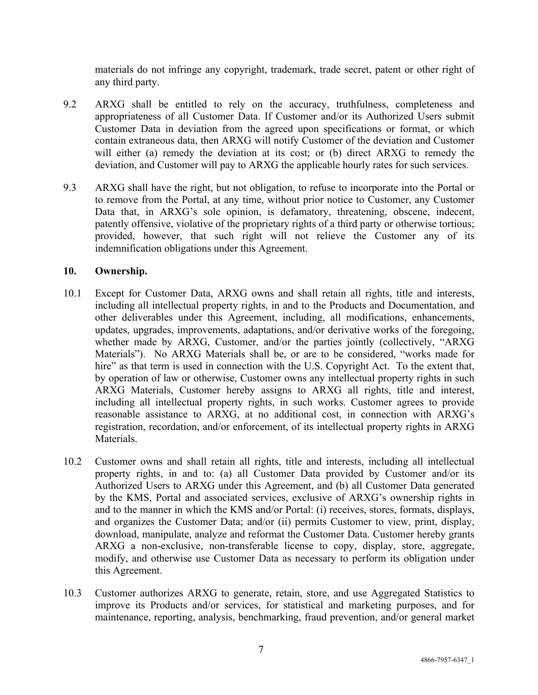materials do not infringe any copyright, trademark, trade secret, patent or other right of any third party.

- 9.2 ARXG shall be entitled to rely on the accuracy, truthfulness, completeness and appropriateness of all Customer Data. If Customer and/or its Authorized Users submit Customer Data in deviation from the agreed upon specifications or format, or which contain extraneous data, then ARXG will notify Customer of the deviation and Customer will either (a) remedy the deviation at its cost; or (b) direct ARXG to remedy the deviation, and Customer will pay to ARXG the applicable hourly rates for such services.
- 9.3 ARXG shall have the right, but not obligation, to refuse to incorporate into the Portal or to remove from the Portal, at any time, without prior notice to Customer, any Customer Data that, in ARXG's sole opinion, is defamatory, threatening, obscene, indecent, patently offensive, violative of the proprietary rights of a third party or otherwise tortious; provided, however, that such right will not relieve the Customer any of its indemnification obligations under this Agreement.

#### **10. Ownership.**

- 10.1 Except for Customer Data, ARXG owns and shall retain all rights, title and interests, including all intellectual property rights, in and to the Products and Documentation, and other deliverables under this Agreement, including, all modifications, enhancements, updates, upgrades, improvements, adaptations, and/or derivative works of the foregoing, whether made by ARXG, Customer, and/or the parties jointly (collectively, "ARXG Materials"). No ARXG Materials shall be, or are to be considered, "works made for hire" as that term is used in connection with the U.S. Copyright Act. To the extent that, by operation of law or otherwise, Customer owns any intellectual property rights in such ARXG Materials, Customer hereby assigns to ARXG all rights, title and interest, including all intellectual property rights, in such works. Customer agrees to provide reasonable assistance to ARXG, at no additional cost, in connection with ARXG's registration, recordation, and/or enforcement, of its intellectual property rights in ARXG Materials.
- 10.2 Customer owns and shall retain all rights, title and interests, including all intellectual property rights, in and to: (a) all Customer Data provided by Customer and/or its Authorized Users to ARXG under this Agreement, and (b) all Customer Data generated by the KMS, Portal and associated services, exclusive of ARXG's ownership rights in and to the manner in which the KMS and/or Portal: (i) receives, stores, formats, displays, and organizes the Customer Data; and/or (ii) permits Customer to view, print, display, download, manipulate, analyze and reformat the Customer Data. Customer hereby grants ARXG a non-exclusive, non-transferable license to copy, display, store, aggregate, modify, and otherwise use Customer Data as necessary to perform its obligation under this Agreement.
- 10.3 Customer authorizes ARXG to generate, retain, store, and use Aggregated Statistics to improve its Products and/or services, for statistical and marketing purposes, and for maintenance, reporting, analysis, benchmarking, fraud prevention, and/or general market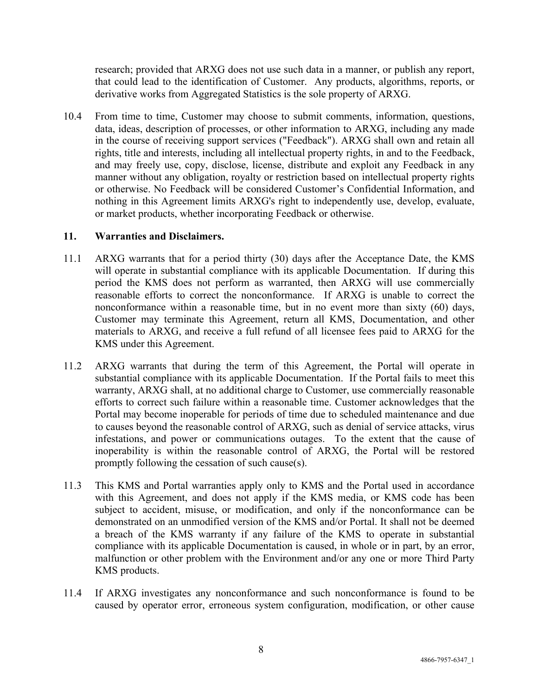research; provided that ARXG does not use such data in a manner, or publish any report, that could lead to the identification of Customer. Any products, algorithms, reports, or derivative works from Aggregated Statistics is the sole property of ARXG.

10.4 From time to time, Customer may choose to submit comments, information, questions, data, ideas, description of processes, or other information to ARXG, including any made in the course of receiving support services ("Feedback"). ARXG shall own and retain all rights, title and interests, including all intellectual property rights, in and to the Feedback, and may freely use, copy, disclose, license, distribute and exploit any Feedback in any manner without any obligation, royalty or restriction based on intellectual property rights or otherwise. No Feedback will be considered Customer's Confidential Information, and nothing in this Agreement limits ARXG's right to independently use, develop, evaluate, or market products, whether incorporating Feedback or otherwise.

#### **11. Warranties and Disclaimers.**

- 11.1 ARXG warrants that for a period thirty (30) days after the Acceptance Date, the KMS will operate in substantial compliance with its applicable Documentation. If during this period the KMS does not perform as warranted, then ARXG will use commercially reasonable efforts to correct the nonconformance. If ARXG is unable to correct the nonconformance within a reasonable time, but in no event more than sixty (60) days, Customer may terminate this Agreement, return all KMS, Documentation, and other materials to ARXG, and receive a full refund of all licensee fees paid to ARXG for the KMS under this Agreement.
- 11.2 ARXG warrants that during the term of this Agreement, the Portal will operate in substantial compliance with its applicable Documentation. If the Portal fails to meet this warranty, ARXG shall, at no additional charge to Customer, use commercially reasonable efforts to correct such failure within a reasonable time. Customer acknowledges that the Portal may become inoperable for periods of time due to scheduled maintenance and due to causes beyond the reasonable control of ARXG, such as denial of service attacks, virus infestations, and power or communications outages. To the extent that the cause of inoperability is within the reasonable control of ARXG, the Portal will be restored promptly following the cessation of such cause(s).
- 11.3 This KMS and Portal warranties apply only to KMS and the Portal used in accordance with this Agreement, and does not apply if the KMS media, or KMS code has been subject to accident, misuse, or modification, and only if the nonconformance can be demonstrated on an unmodified version of the KMS and/or Portal. It shall not be deemed a breach of the KMS warranty if any failure of the KMS to operate in substantial compliance with its applicable Documentation is caused, in whole or in part, by an error, malfunction or other problem with the Environment and/or any one or more Third Party KMS products.
- 11.4 If ARXG investigates any nonconformance and such nonconformance is found to be caused by operator error, erroneous system configuration, modification, or other cause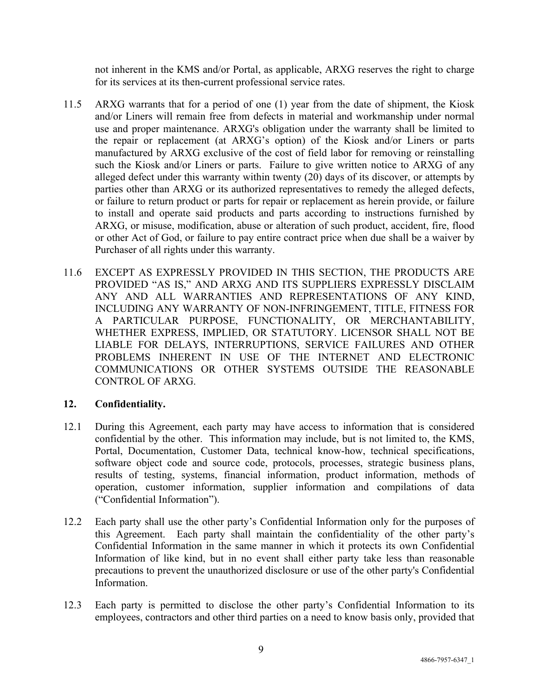not inherent in the KMS and/or Portal, as applicable, ARXG reserves the right to charge for its services at its then-current professional service rates.

- 11.5 ARXG warrants that for a period of one (1) year from the date of shipment, the Kiosk and/or Liners will remain free from defects in material and workmanship under normal use and proper maintenance. ARXG's obligation under the warranty shall be limited to the repair or replacement (at ARXG's option) of the Kiosk and/or Liners or parts manufactured by ARXG exclusive of the cost of field labor for removing or reinstalling such the Kiosk and/or Liners or parts. Failure to give written notice to ARXG of any alleged defect under this warranty within twenty (20) days of its discover, or attempts by parties other than ARXG or its authorized representatives to remedy the alleged defects, or failure to return product or parts for repair or replacement as herein provide, or failure to install and operate said products and parts according to instructions furnished by ARXG, or misuse, modification, abuse or alteration of such product, accident, fire, flood or other Act of God, or failure to pay entire contract price when due shall be a waiver by Purchaser of all rights under this warranty.
- 11.6 EXCEPT AS EXPRESSLY PROVIDED IN THIS SECTION, THE PRODUCTS ARE PROVIDED "AS IS," AND ARXG AND ITS SUPPLIERS EXPRESSLY DISCLAIM ANY AND ALL WARRANTIES AND REPRESENTATIONS OF ANY KIND, INCLUDING ANY WARRANTY OF NON-INFRINGEMENT, TITLE, FITNESS FOR A PARTICULAR PURPOSE, FUNCTIONALITY, OR MERCHANTABILITY, WHETHER EXPRESS, IMPLIED, OR STATUTORY. LICENSOR SHALL NOT BE LIABLE FOR DELAYS, INTERRUPTIONS, SERVICE FAILURES AND OTHER PROBLEMS INHERENT IN USE OF THE INTERNET AND ELECTRONIC COMMUNICATIONS OR OTHER SYSTEMS OUTSIDE THE REASONABLE CONTROL OF ARXG.

## **12. Confidentiality.**

- 12.1 During this Agreement, each party may have access to information that is considered confidential by the other. This information may include, but is not limited to, the KMS, Portal, Documentation, Customer Data, technical know-how, technical specifications, software object code and source code, protocols, processes, strategic business plans, results of testing, systems, financial information, product information, methods of operation, customer information, supplier information and compilations of data ("Confidential Information").
- 12.2 Each party shall use the other party's Confidential Information only for the purposes of this Agreement. Each party shall maintain the confidentiality of the other party's Confidential Information in the same manner in which it protects its own Confidential Information of like kind, but in no event shall either party take less than reasonable precautions to prevent the unauthorized disclosure or use of the other party's Confidential Information.
- 12.3 Each party is permitted to disclose the other party's Confidential Information to its employees, contractors and other third parties on a need to know basis only, provided that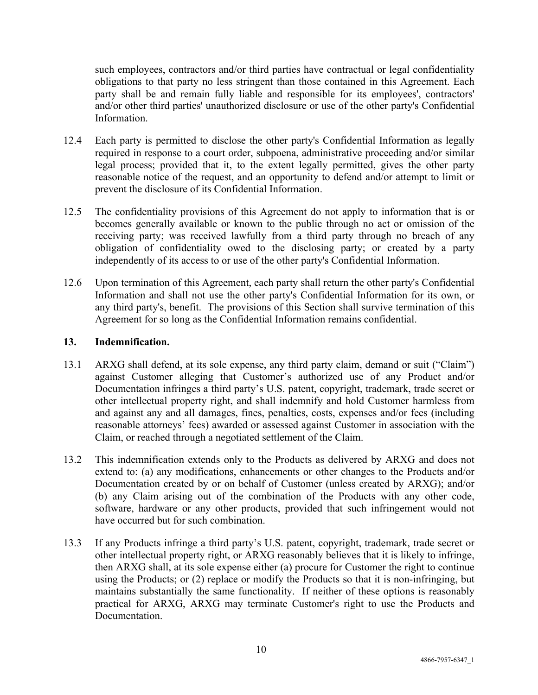such employees, contractors and/or third parties have contractual or legal confidentiality obligations to that party no less stringent than those contained in this Agreement. Each party shall be and remain fully liable and responsible for its employees', contractors' and/or other third parties' unauthorized disclosure or use of the other party's Confidential Information.

- 12.4 Each party is permitted to disclose the other party's Confidential Information as legally required in response to a court order, subpoena, administrative proceeding and/or similar legal process; provided that it, to the extent legally permitted, gives the other party reasonable notice of the request, and an opportunity to defend and/or attempt to limit or prevent the disclosure of its Confidential Information.
- 12.5 The confidentiality provisions of this Agreement do not apply to information that is or becomes generally available or known to the public through no act or omission of the receiving party; was received lawfully from a third party through no breach of any obligation of confidentiality owed to the disclosing party; or created by a party independently of its access to or use of the other party's Confidential Information.
- 12.6 Upon termination of this Agreement, each party shall return the other party's Confidential Information and shall not use the other party's Confidential Information for its own, or any third party's, benefit. The provisions of this Section shall survive termination of this Agreement for so long as the Confidential Information remains confidential.

#### **13. Indemnification.**

- 13.1 ARXG shall defend, at its sole expense, any third party claim, demand or suit ("Claim") against Customer alleging that Customer's authorized use of any Product and/or Documentation infringes a third party's U.S. patent, copyright, trademark, trade secret or other intellectual property right, and shall indemnify and hold Customer harmless from and against any and all damages, fines, penalties, costs, expenses and/or fees (including reasonable attorneys' fees) awarded or assessed against Customer in association with the Claim, or reached through a negotiated settlement of the Claim.
- 13.2 This indemnification extends only to the Products as delivered by ARXG and does not extend to: (a) any modifications, enhancements or other changes to the Products and/or Documentation created by or on behalf of Customer (unless created by ARXG); and/or (b) any Claim arising out of the combination of the Products with any other code, software, hardware or any other products, provided that such infringement would not have occurred but for such combination.
- 13.3 If any Products infringe a third party's U.S. patent, copyright, trademark, trade secret or other intellectual property right, or ARXG reasonably believes that it is likely to infringe, then ARXG shall, at its sole expense either (a) procure for Customer the right to continue using the Products; or (2) replace or modify the Products so that it is non-infringing, but maintains substantially the same functionality. If neither of these options is reasonably practical for ARXG, ARXG may terminate Customer's right to use the Products and Documentation.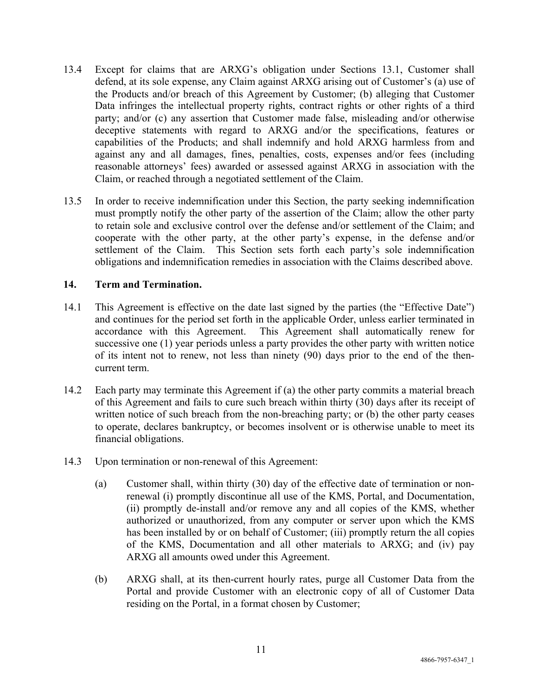- 13.4 Except for claims that are ARXG's obligation under Sections 13.1, Customer shall defend, at its sole expense, any Claim against ARXG arising out of Customer's (a) use of the Products and/or breach of this Agreement by Customer; (b) alleging that Customer Data infringes the intellectual property rights, contract rights or other rights of a third party; and/or (c) any assertion that Customer made false, misleading and/or otherwise deceptive statements with regard to ARXG and/or the specifications, features or capabilities of the Products; and shall indemnify and hold ARXG harmless from and against any and all damages, fines, penalties, costs, expenses and/or fees (including reasonable attorneys' fees) awarded or assessed against ARXG in association with the Claim, or reached through a negotiated settlement of the Claim.
- 13.5 In order to receive indemnification under this Section, the party seeking indemnification must promptly notify the other party of the assertion of the Claim; allow the other party to retain sole and exclusive control over the defense and/or settlement of the Claim; and cooperate with the other party, at the other party's expense, in the defense and/or settlement of the Claim. This Section sets forth each party's sole indemnification obligations and indemnification remedies in association with the Claims described above.

## **14. Term and Termination.**

- 14.1 This Agreement is effective on the date last signed by the parties (the "Effective Date") and continues for the period set forth in the applicable Order, unless earlier terminated in accordance with this Agreement. This Agreement shall automatically renew for successive one (1) year periods unless a party provides the other party with written notice of its intent not to renew, not less than ninety (90) days prior to the end of the thencurrent term.
- 14.2 Each party may terminate this Agreement if (a) the other party commits a material breach of this Agreement and fails to cure such breach within thirty (30) days after its receipt of written notice of such breach from the non-breaching party; or (b) the other party ceases to operate, declares bankruptcy, or becomes insolvent or is otherwise unable to meet its financial obligations.
- 14.3 Upon termination or non-renewal of this Agreement:
	- (a) Customer shall, within thirty (30) day of the effective date of termination or nonrenewal (i) promptly discontinue all use of the KMS, Portal, and Documentation, (ii) promptly de-install and/or remove any and all copies of the KMS, whether authorized or unauthorized, from any computer or server upon which the KMS has been installed by or on behalf of Customer; (iii) promptly return the all copies of the KMS, Documentation and all other materials to ARXG; and (iv) pay ARXG all amounts owed under this Agreement.
	- (b) ARXG shall, at its then-current hourly rates, purge all Customer Data from the Portal and provide Customer with an electronic copy of all of Customer Data residing on the Portal, in a format chosen by Customer;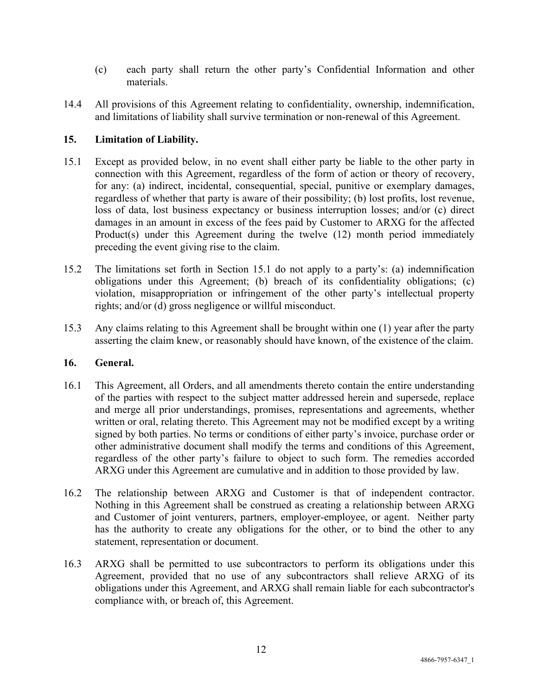- (c) each party shall return the other party's Confidential Information and other materials.
- 14.4 All provisions of this Agreement relating to confidentiality, ownership, indemnification, and limitations of liability shall survive termination or non-renewal of this Agreement.

## **15. Limitation of Liability.**

- 15.1 Except as provided below, in no event shall either party be liable to the other party in connection with this Agreement, regardless of the form of action or theory of recovery, for any: (a) indirect, incidental, consequential, special, punitive or exemplary damages, regardless of whether that party is aware of their possibility; (b) lost profits, lost revenue, loss of data, lost business expectancy or business interruption losses; and/or (c) direct damages in an amount in excess of the fees paid by Customer to ARXG for the affected Product(s) under this Agreement during the twelve (12) month period immediately preceding the event giving rise to the claim.
- 15.2 The limitations set forth in Section 15.1 do not apply to a party's: (a) indemnification obligations under this Agreement; (b) breach of its confidentiality obligations; (c) violation, misappropriation or infringement of the other party's intellectual property rights; and/or (d) gross negligence or willful misconduct.
- 15.3 Any claims relating to this Agreement shall be brought within one (1) year after the party asserting the claim knew, or reasonably should have known, of the existence of the claim.

#### **16. General.**

- 16.1 This Agreement, all Orders, and all amendments thereto contain the entire understanding of the parties with respect to the subject matter addressed herein and supersede, replace and merge all prior understandings, promises, representations and agreements, whether written or oral, relating thereto. This Agreement may not be modified except by a writing signed by both parties. No terms or conditions of either party's invoice, purchase order or other administrative document shall modify the terms and conditions of this Agreement, regardless of the other party's failure to object to such form. The remedies accorded ARXG under this Agreement are cumulative and in addition to those provided by law.
- 16.2 The relationship between ARXG and Customer is that of independent contractor. Nothing in this Agreement shall be construed as creating a relationship between ARXG and Customer of joint venturers, partners, employer-employee, or agent. Neither party has the authority to create any obligations for the other, or to bind the other to any statement, representation or document.
- 16.3 ARXG shall be permitted to use subcontractors to perform its obligations under this Agreement, provided that no use of any subcontractors shall relieve ARXG of its obligations under this Agreement, and ARXG shall remain liable for each subcontractor's compliance with, or breach of, this Agreement.